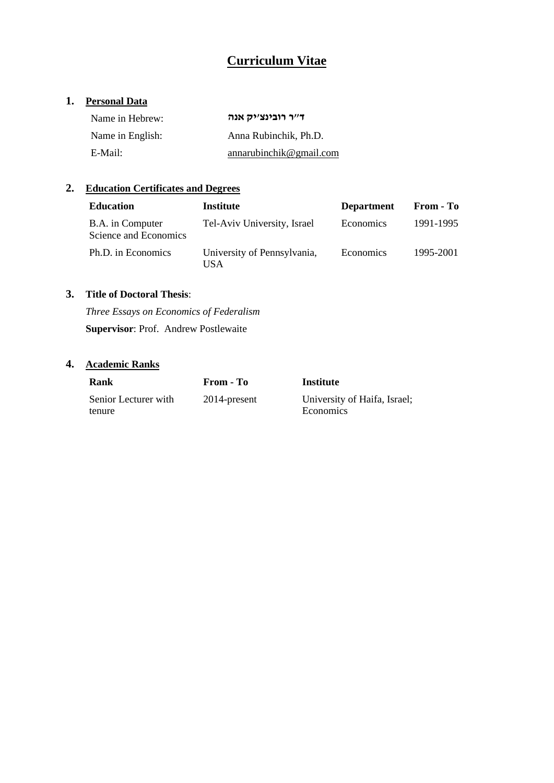# **Curriculum Vitae**

## **1. Personal Data**

| Name in Hebrew:  | ד״ר רובינצ׳יק אנה       |
|------------------|-------------------------|
| Name in English: | Anna Rubinchik, Ph.D.   |
| E-Mail:          | annarubinchik@gmail.com |

## **2. Education Certificates and Degrees**

| <b>Education</b>                          | <b>Institute</b>                   | <b>Department</b> | From - To |
|-------------------------------------------|------------------------------------|-------------------|-----------|
| B.A. in Computer<br>Science and Economics | Tel-Aviv University, Israel        | Economics         | 1991-1995 |
| Ph.D. in Economics                        | University of Pennsylvania,<br>USA | Economics         | 1995-2001 |

### **3. Title of Doctoral Thesis**:

*Three Essays on Economics of Federalism*  **Supervisor**: Prof. Andrew Postlewaite

## **4. Academic Ranks**

| Rank                 | From - To       | Institute                    |
|----------------------|-----------------|------------------------------|
| Senior Lecturer with | $2014$ -present | University of Haifa, Israel; |
| tenure               |                 | Economics                    |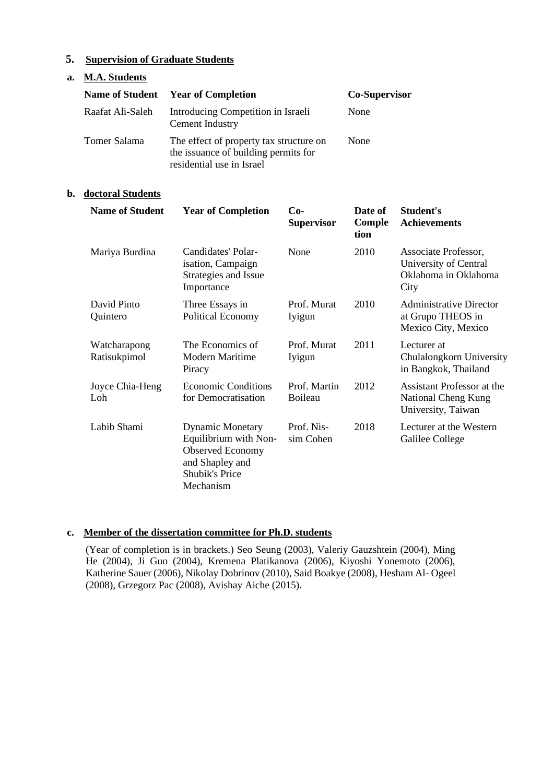### **5. Supervision of Graduate Students**

| a. | <b>M.A. Students</b> |                                                                                                              |                      |
|----|----------------------|--------------------------------------------------------------------------------------------------------------|----------------------|
|    |                      | <b>Name of Student Year of Completion</b>                                                                    | <b>Co-Supervisor</b> |
|    | Raafat Ali-Saleh     | Introducing Competition in Israeli<br>Cement Industry                                                        | None                 |
|    | Tomer Salama         | The effect of property tax structure on<br>the issuance of building permits for<br>residential use in Israel | None                 |

#### **b. doctoral Students**

| <b>Name of Student</b>       | <b>Year of Completion</b>                                                                                                            | $Co-$<br><b>Supervisor</b> | Date of<br>Comple<br>tion | Student's<br><b>Achievements</b>                                              |
|------------------------------|--------------------------------------------------------------------------------------------------------------------------------------|----------------------------|---------------------------|-------------------------------------------------------------------------------|
| Mariya Burdina               | Candidates' Polar-<br>isation, Campaign<br>Strategies and Issue<br>Importance                                                        | None                       | 2010                      | Associate Professor,<br>University of Central<br>Oklahoma in Oklahoma<br>City |
| David Pinto<br>Quintero      | Three Essays in<br>Political Economy                                                                                                 | Prof. Murat<br>Iyigun      | 2010                      | Administrative Director<br>at Grupo THEOS in<br>Mexico City, Mexico           |
| Watcharapong<br>Ratisukpimol | The Economics of<br>Modern Maritime<br>Piracy                                                                                        | Prof. Murat<br>Iyigun      | 2011                      | Lecturer at<br>Chulalongkorn University<br>in Bangkok, Thailand               |
| Joyce Chia-Heng<br>Loh       | <b>Economic Conditions</b><br>for Democratisation                                                                                    | Prof. Martin<br>Boileau    | 2012                      | Assistant Professor at the<br>National Cheng Kung<br>University, Taiwan       |
| Labib Shami                  | <b>Dynamic Monetary</b><br>Equilibrium with Non-<br><b>Observed Economy</b><br>and Shapley and<br><b>Shubik's Price</b><br>Mechanism | Prof. Nis-<br>sim Cohen    | 2018                      | Lecturer at the Western<br>Galilee College                                    |

#### **c. Member of the dissertation committee for Ph.D. students**

(Year of completion is in brackets.) Seo Seung (2003), Valeriy Gauzshtein (2004), Ming He (2004), Ji Guo (2004), Kremena Platikanova (2006), Kiyoshi Yonemoto (2006), Katherine Sauer (2006), Nikolay Dobrinov (2010), Said Boakye (2008), Hesham Al- Ogeel (2008), Grzegorz Pac (2008), Avishay Aiche (2015).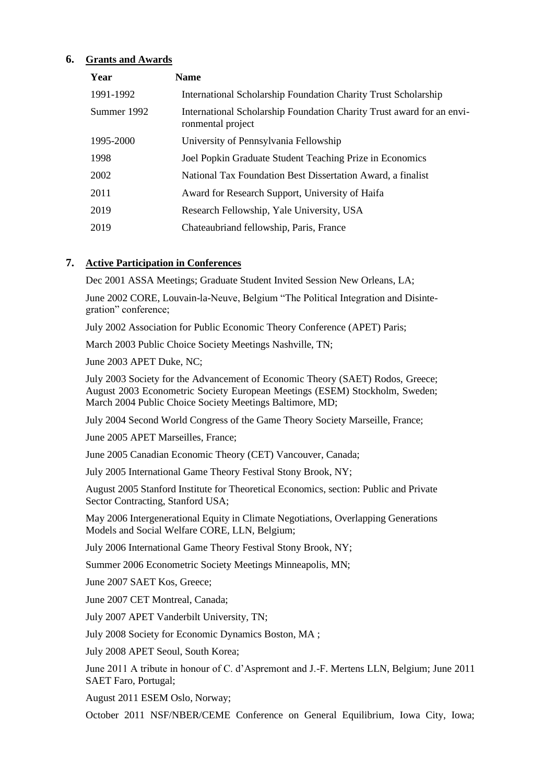#### **6. Grants and Awards**

| Year        | <b>Name</b>                                                                                |
|-------------|--------------------------------------------------------------------------------------------|
| 1991-1992   | International Scholarship Foundation Charity Trust Scholarship                             |
| Summer 1992 | International Scholarship Foundation Charity Trust award for an envi-<br>ronmental project |
| 1995-2000   | University of Pennsylvania Fellowship                                                      |
| 1998        | Joel Popkin Graduate Student Teaching Prize in Economics                                   |
| 2002        | National Tax Foundation Best Dissertation Award, a finalist                                |
| 2011        | Award for Research Support, University of Haifa                                            |
| 2019        | Research Fellowship, Yale University, USA                                                  |
| 2019        | Chateaubriand fellowship, Paris, France                                                    |

#### **7. Active Participation in Conferences**

Dec 2001 ASSA Meetings; Graduate Student Invited Session New Orleans, LA;

June 2002 CORE, Louvain-la-Neuve, Belgium "The Political Integration and Disintegration" conference;

July 2002 Association for Public Economic Theory Conference (APET) Paris;

March 2003 Public Choice Society Meetings Nashville, TN;

June 2003 APET Duke, NC;

July 2003 Society for the Advancement of Economic Theory (SAET) Rodos, Greece; August 2003 Econometric Society European Meetings (ESEM) Stockholm, Sweden; March 2004 Public Choice Society Meetings Baltimore, MD;

July 2004 Second World Congress of the Game Theory Society Marseille, France;

June 2005 APET Marseilles, France;

June 2005 Canadian Economic Theory (CET) Vancouver, Canada;

July 2005 International Game Theory Festival Stony Brook, NY;

August 2005 Stanford Institute for Theoretical Economics, section: Public and Private Sector Contracting, Stanford USA;

May 2006 Intergenerational Equity in Climate Negotiations, Overlapping Generations Models and Social Welfare CORE, LLN, Belgium;

July 2006 International Game Theory Festival Stony Brook, NY;

Summer 2006 Econometric Society Meetings Minneapolis, MN;

June 2007 SAET Kos, Greece;

June 2007 CET Montreal, Canada;

July 2007 APET Vanderbilt University, TN;

July 2008 Society for Economic Dynamics Boston, MA ;

July 2008 APET Seoul, South Korea;

June 2011 A tribute in honour of C. d'Aspremont and J.-F. Mertens LLN, Belgium; June 2011 SAET Faro, Portugal;

August 2011 ESEM Oslo, Norway;

October 2011 NSF/NBER/CEME Conference on General Equilibrium, Iowa City, Iowa;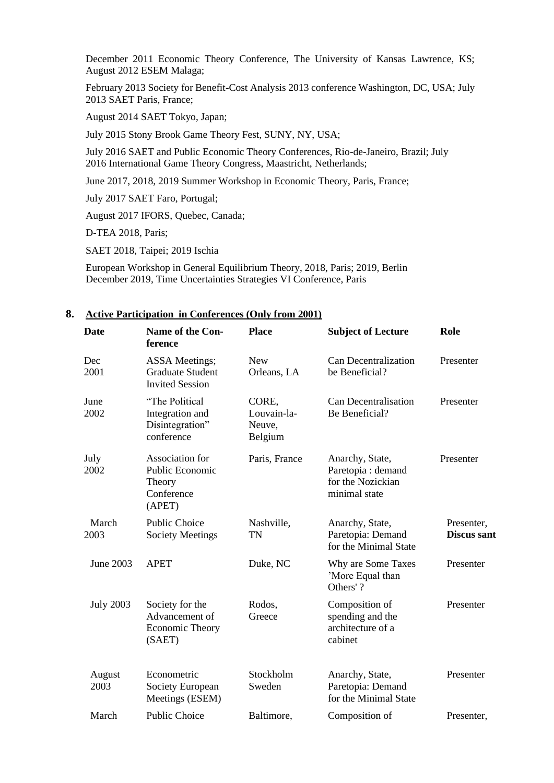December 2011 Economic Theory Conference, The University of Kansas Lawrence, KS; August 2012 ESEM Malaga;

February 2013 Society for Benefit-Cost Analysis 2013 conference Washington, DC, USA; July 2013 SAET Paris, France;

August 2014 SAET Tokyo, Japan;

July 2015 Stony Brook Game Theory Fest, SUNY, NY, USA;

July 2016 SAET and Public Economic Theory Conferences, Rio-de-Janeiro, Brazil; July 2016 International Game Theory Congress, Maastricht, Netherlands;

June 2017, 2018, 2019 Summer Workshop in Economic Theory, Paris, France;

July 2017 SAET Faro, Portugal;

August 2017 IFORS, Quebec, Canada;

D-TEA 2018, Paris;

SAET 2018, Taipei; 2019 Ischia

European Workshop in General Equilibrium Theory, 2018, Paris; 2019, Berlin December 2019, Time Uncertainties Strategies VI Conference, Paris

#### **Date Name of the Conference Place Subject of Lecture Role** Dec 2001 ASSA Meetings; Graduate Student Invited Session New Orleans, LA Can Decentralization be Beneficial? Presenter June 2002 "The Political Integration and Disintegration" conference CORE, Louvain-la-Neuve, Belgium Can Decentralisation Be Beneficial? Presenter July 2002 Association for Public Economic Theory Conference (APET) Paris, France Anarchy, State, Paretopia : demand for the Nozickian minimal state Presenter March 2003 Public Choice Society Meetings Nashville, TN Anarchy, State, Paretopia: Demand for the Minimal State Presenter, **Discus sant** June 2003 APET Duke, NC Why are Some Taxes 'More Equal than Others' ? Presenter July 2003 Society for the Advancement of Economic Theory (SAET) Rodos, **Greece** Composition of spending and the architecture of a cabinet Presenter August 2003 Econometric Society European Meetings (ESEM) Stockholm Sweden Anarchy, State, Paretopia: Demand for the Minimal State Presenter March Public Choice Baltimore, Composition of Presenter,

#### **8. Active Participation in Conferences (Only from 2001)**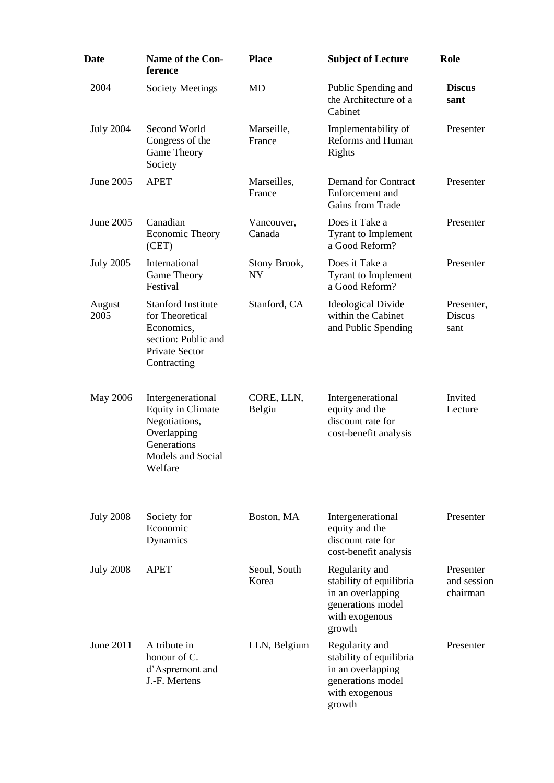| <b>Date</b>      | <b>Name of the Con-</b><br>ference                                                                                           | <b>Place</b>          | <b>Subject of Lecture</b>                                                                                       | Role                                 |
|------------------|------------------------------------------------------------------------------------------------------------------------------|-----------------------|-----------------------------------------------------------------------------------------------------------------|--------------------------------------|
| 2004             | <b>Society Meetings</b>                                                                                                      | <b>MD</b>             | Public Spending and<br>the Architecture of a<br>Cabinet                                                         | <b>Discus</b><br>sant                |
| <b>July 2004</b> | Second World<br>Congress of the<br>Game Theory<br>Society                                                                    | Marseille,<br>France  | Implementability of<br>Reforms and Human<br>Rights                                                              | Presenter                            |
| June 2005        | <b>APET</b>                                                                                                                  | Marseilles,<br>France | Demand for Contract<br>Enforcement and<br>Gains from Trade                                                      | Presenter                            |
| June 2005        | Canadian<br>Economic Theory<br>(CET)                                                                                         | Vancouver,<br>Canada  | Does it Take a<br><b>Tyrant to Implement</b><br>a Good Reform?                                                  | Presenter                            |
| <b>July 2005</b> | International<br>Game Theory<br>Festival                                                                                     | Stony Brook,<br>NY    | Does it Take a<br><b>Tyrant to Implement</b><br>a Good Reform?                                                  | Presenter                            |
| August<br>2005   | <b>Stanford Institute</b><br>for Theoretical<br>Economics,<br>section: Public and<br>Private Sector<br>Contracting           | Stanford, CA          | <b>Ideological Divide</b><br>within the Cabinet<br>and Public Spending                                          | Presenter,<br>Discus<br>sant         |
| May 2006         | Intergenerational<br><b>Equity in Climate</b><br>Negotiations,<br>Overlapping<br>Generations<br>Models and Social<br>Welfare | CORE, LLN,<br>Belgiu  | Intergenerational<br>equity and the<br>discount rate for<br>cost-benefit analysis                               | Invited<br>Lecture                   |
| <b>July 2008</b> | Society for<br>Economic<br>Dynamics                                                                                          | Boston, MA            | Intergenerational<br>equity and the<br>discount rate for<br>cost-benefit analysis                               | Presenter                            |
| <b>July 2008</b> | <b>APET</b>                                                                                                                  | Seoul, South<br>Korea | Regularity and<br>stability of equilibria<br>in an overlapping<br>generations model<br>with exogenous<br>growth | Presenter<br>and session<br>chairman |
| June 2011        | A tribute in<br>honour of C.<br>d'Aspremont and<br>J.-F. Mertens                                                             | LLN, Belgium          | Regularity and<br>stability of equilibria<br>in an overlapping<br>generations model<br>with exogenous<br>growth | Presenter                            |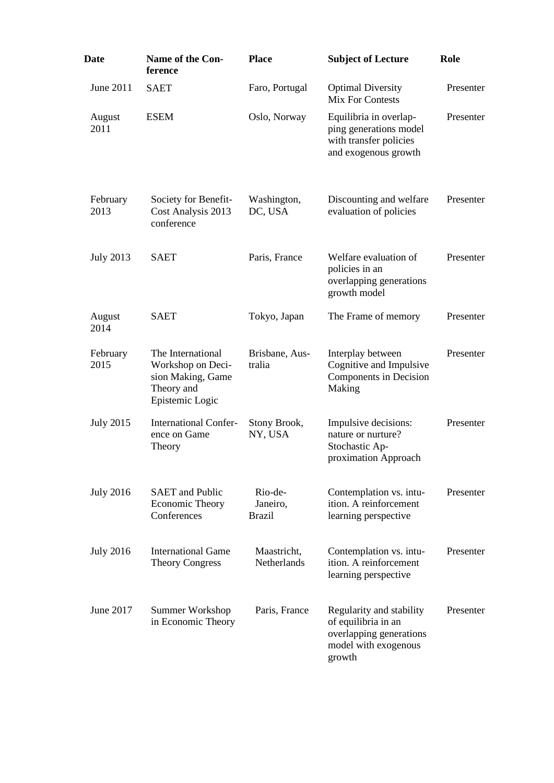| Date             | <b>Name of the Con-</b><br>ference                                                           | <b>Place</b>                         | <b>Subject of Lecture</b>                                                                                    | Role      |
|------------------|----------------------------------------------------------------------------------------------|--------------------------------------|--------------------------------------------------------------------------------------------------------------|-----------|
| June 2011        | <b>SAET</b>                                                                                  | Faro, Portugal                       | <b>Optimal Diversity</b><br><b>Mix For Contests</b>                                                          | Presenter |
| August<br>2011   | <b>ESEM</b>                                                                                  | Oslo, Norway                         | Equilibria in overlap-<br>ping generations model<br>with transfer policies<br>and exogenous growth           | Presenter |
| February<br>2013 | Society for Benefit-<br>Cost Analysis 2013<br>conference                                     | Washington,<br>DC, USA               | Discounting and welfare<br>evaluation of policies                                                            | Presenter |
| <b>July 2013</b> | <b>SAET</b>                                                                                  | Paris, France                        | Welfare evaluation of<br>policies in an<br>overlapping generations<br>growth model                           | Presenter |
| August<br>2014   | <b>SAET</b>                                                                                  | Tokyo, Japan                         | The Frame of memory                                                                                          | Presenter |
| February<br>2015 | The International<br>Workshop on Deci-<br>sion Making, Game<br>Theory and<br>Epistemic Logic | Brisbane, Aus-<br>tralia             | Interplay between<br>Cognitive and Impulsive<br>Components in Decision<br>Making                             | Presenter |
| <b>July 2015</b> | <b>International Confer-</b><br>ence on Game<br>Theory                                       | Stony Brook,<br>NY, USA              | Impulsive decisions:<br>nature or nurture?<br>Stochastic Ap-<br>proximation Approach                         | Presenter |
| <b>July 2016</b> | <b>SAET</b> and Public<br><b>Economic Theory</b><br>Conferences                              | Rio-de-<br>Janeiro,<br><b>Brazil</b> | Contemplation vs. intu-<br>ition. A reinforcement<br>learning perspective                                    | Presenter |
| <b>July 2016</b> | <b>International Game</b><br><b>Theory Congress</b>                                          | Maastricht,<br><b>Netherlands</b>    | Contemplation vs. intu-<br>ition. A reinforcement<br>learning perspective                                    | Presenter |
| June 2017        | Summer Workshop<br>in Economic Theory                                                        | Paris, France                        | Regularity and stability<br>of equilibria in an<br>overlapping generations<br>model with exogenous<br>growth | Presenter |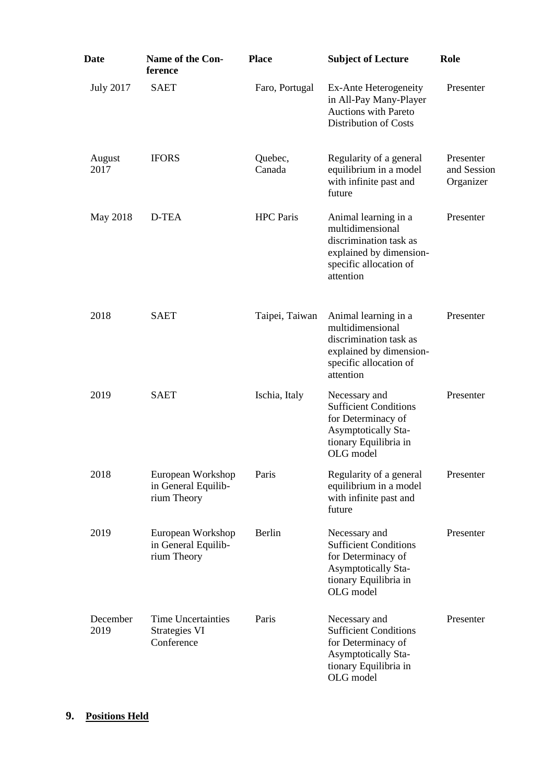| Date             | Name of the Con-<br>ference                              | <b>Place</b>      | <b>Subject of Lecture</b>                                                                                                                         | Role                                  |
|------------------|----------------------------------------------------------|-------------------|---------------------------------------------------------------------------------------------------------------------------------------------------|---------------------------------------|
| <b>July 2017</b> | <b>SAET</b>                                              | Faro, Portugal    | Ex-Ante Heterogeneity<br>in All-Pay Many-Player<br><b>Auctions with Pareto</b><br><b>Distribution of Costs</b>                                    | Presenter                             |
| August<br>2017   | <b>IFORS</b>                                             | Quebec,<br>Canada | Regularity of a general<br>equilibrium in a model<br>with infinite past and<br>future                                                             | Presenter<br>and Session<br>Organizer |
| May 2018         | D-TEA                                                    | <b>HPC</b> Paris  | Animal learning in a<br>Presenter<br>multidimensional<br>discrimination task as<br>explained by dimension-<br>specific allocation of<br>attention |                                       |
| 2018             | <b>SAET</b>                                              | Taipei, Taiwan    | Animal learning in a<br>multidimensional<br>discrimination task as<br>explained by dimension-<br>specific allocation of<br>attention              | Presenter                             |
| 2019             | <b>SAET</b>                                              | Ischia, Italy     | Necessary and<br><b>Sufficient Conditions</b><br>for Determinacy of<br><b>Asymptotically Sta-</b><br>tionary Equilibria in<br>OLG model           | Presenter                             |
| 2018             | European Workshop<br>in General Equilib-<br>rium Theory  | Paris             | Regularity of a general<br>equilibrium in a model<br>with infinite past and<br>future                                                             | Presenter                             |
| 2019             | European Workshop<br>in General Equilib-<br>rium Theory  | Berlin            | Necessary and<br><b>Sufficient Conditions</b><br>for Determinacy of<br><b>Asymptotically Sta-</b><br>tionary Equilibria in<br>OLG model           | Presenter                             |
| December<br>2019 | <b>Time Uncertainties</b><br>Strategies VI<br>Conference | Paris             | Necessary and<br><b>Sufficient Conditions</b><br>for Determinacy of<br><b>Asymptotically Sta-</b><br>tionary Equilibria in<br>OLG model           | Presenter                             |

## **9. Positions Held**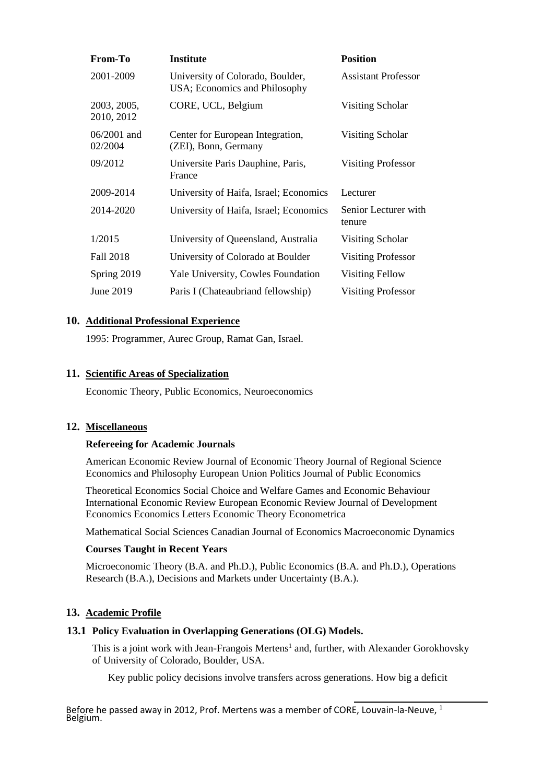| From-To                   | <b>Institute</b>                                                  | <b>Position</b>                |
|---------------------------|-------------------------------------------------------------------|--------------------------------|
| 2001-2009                 | University of Colorado, Boulder,<br>USA; Economics and Philosophy | <b>Assistant Professor</b>     |
| 2003, 2005,<br>2010, 2012 | CORE, UCL, Belgium                                                | Visiting Scholar               |
| $06/2001$ and<br>02/2004  | Center for European Integration,<br>(ZEI), Bonn, Germany          | Visiting Scholar               |
| 09/2012                   | Universite Paris Dauphine, Paris,<br>France                       | <b>Visiting Professor</b>      |
| 2009-2014                 | University of Haifa, Israel; Economics                            | Lecturer                       |
| 2014-2020                 | University of Haifa, Israel; Economics                            | Senior Lecturer with<br>tenure |
| 1/2015                    | University of Queensland, Australia                               | Visiting Scholar               |
| Fall 2018                 | University of Colorado at Boulder                                 | <b>Visiting Professor</b>      |
| Spring 2019               | Yale University, Cowles Foundation                                | Visiting Fellow                |
| June 2019                 | Paris I (Chateaubriand fellowship)                                | <b>Visiting Professor</b>      |

#### **10. Additional Professional Experience**

1995: Programmer, Aurec Group, Ramat Gan, Israel.

#### **11. Scientific Areas of Specialization**

Economic Theory, Public Economics, Neuroeconomics

#### **12. Miscellaneous**

#### **Refereeing for Academic Journals**

American Economic Review Journal of Economic Theory Journal of Regional Science Economics and Philosophy European Union Politics Journal of Public Economics

Theoretical Economics Social Choice and Welfare Games and Economic Behaviour International Economic Review European Economic Review Journal of Development Economics Economics Letters Economic Theory Econometrica

Mathematical Social Sciences Canadian Journal of Economics Macroeconomic Dynamics

#### **Courses Taught in Recent Years**

Microeconomic Theory (B.A. and Ph.D.), Public Economics (B.A. and Ph.D.), Operations Research (B.A.), Decisions and Markets under Uncertainty (B.A.).

### **13. Academic Profile**

#### **13.1 Policy Evaluation in Overlapping Generations (OLG) Models.**

This is a joint work with Jean-Frangois Mertens<sup>1</sup> and, further, with Alexander Gorokhovsky of University of Colorado, Boulder, USA.

Key public policy decisions involve transfers across generations. How big a deficit

Before he passed away in 2012, Prof. Mertens was a member of CORE, Louvain-la-Neuve,  $1$ Belgium.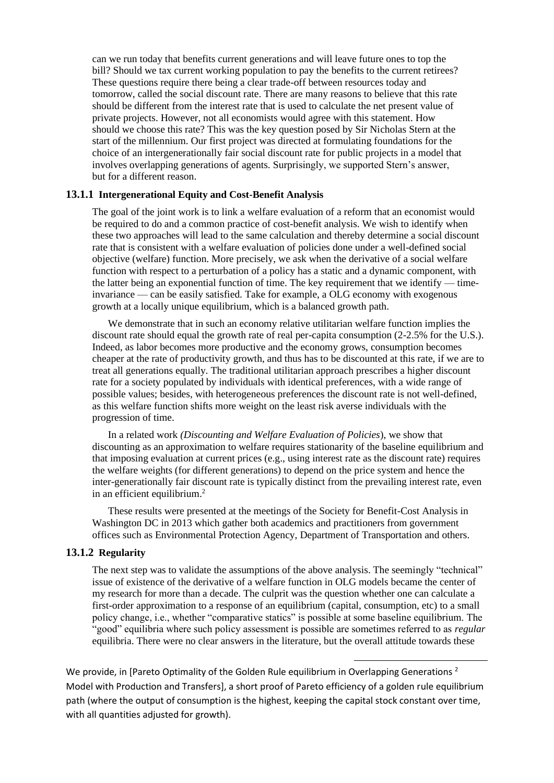can we run today that benefits current generations and will leave future ones to top the bill? Should we tax current working population to pay the benefits to the current retirees? These questions require there being a clear trade-off between resources today and tomorrow, called the social discount rate. There are many reasons to believe that this rate should be different from the interest rate that is used to calculate the net present value of private projects. However, not all economists would agree with this statement. How should we choose this rate? This was the key question posed by Sir Nicholas Stern at the start of the millennium. Our first project was directed at formulating foundations for the choice of an intergenerationally fair social discount rate for public projects in a model that involves overlapping generations of agents. Surprisingly, we supported Stern's answer, but for a different reason.

#### **13.1.1 Intergenerational Equity and Cost-Benefit Analysis**

The goal of the joint work is to link a welfare evaluation of a reform that an economist would be required to do and a common practice of cost-benefit analysis. We wish to identify when these two approaches will lead to the same calculation and thereby determine a social discount rate that is consistent with a welfare evaluation of policies done under a well-defined social objective (welfare) function. More precisely, we ask when the derivative of a social welfare function with respect to a perturbation of a policy has a static and a dynamic component, with the latter being an exponential function of time. The key requirement that we identify — timeinvariance — can be easily satisfied. Take for example, a OLG economy with exogenous growth at a locally unique equilibrium, which is a balanced growth path.

We demonstrate that in such an economy relative utilitarian welfare function implies the discount rate should equal the growth rate of real per-capita consumption (2-2.5% for the U.S.). Indeed, as labor becomes more productive and the economy grows, consumption becomes cheaper at the rate of productivity growth, and thus has to be discounted at this rate, if we are to treat all generations equally. The traditional utilitarian approach prescribes a higher discount rate for a society populated by individuals with identical preferences, with a wide range of possible values; besides, with heterogeneous preferences the discount rate is not well-defined, as this welfare function shifts more weight on the least risk averse individuals with the progression of time.

In a related work *(Discounting and Welfare Evaluation of Policies*), we show that discounting as an approximation to welfare requires stationarity of the baseline equilibrium and that imposing evaluation at current prices (e.g., using interest rate as the discount rate) requires the welfare weights (for different generations) to depend on the price system and hence the inter-generationally fair discount rate is typically distinct from the prevailing interest rate, even in an efficient equilibrium.<sup>2</sup>

These results were presented at the meetings of the Society for Benefit-Cost Analysis in Washington DC in 2013 which gather both academics and practitioners from government offices such as Environmental Protection Agency, Department of Transportation and others.

#### **13.1.2 Regularity**

The next step was to validate the assumptions of the above analysis. The seemingly "technical" issue of existence of the derivative of a welfare function in OLG models became the center of my research for more than a decade. The culprit was the question whether one can calculate a first-order approximation to a response of an equilibrium (capital, consumption, etc) to a small policy change, i.e., whether "comparative statics" is possible at some baseline equilibrium. The "good" equilibria where such policy assessment is possible are sometimes referred to as *regular* equilibria. There were no clear answers in the literature, but the overall attitude towards these

We provide, in [Pareto Optimality of the Golden Rule equilibrium in Overlapping Generations<sup>2</sup> Model with Production and Transfers], a short proof of Pareto efficiency of a golden rule equilibrium path (where the output of consumption is the highest, keeping the capital stock constant over time, with all quantities adjusted for growth).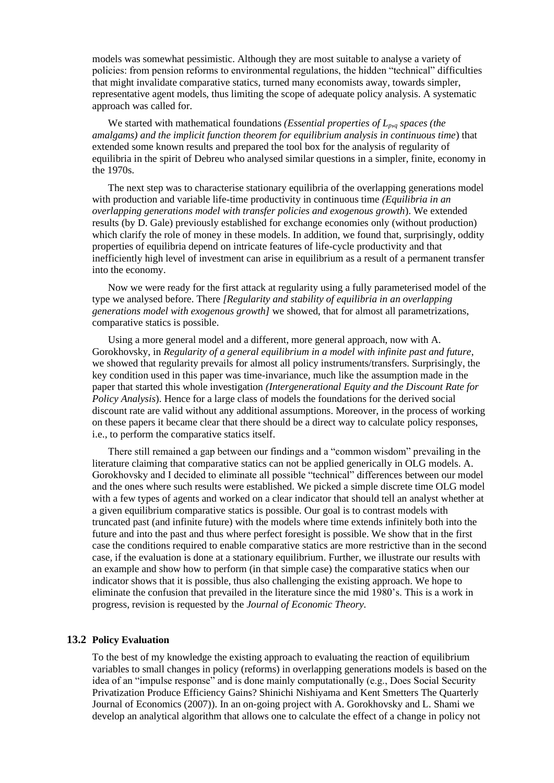models was somewhat pessimistic. Although they are most suitable to analyse a variety of policies: from pension reforms to environmental regulations, the hidden "technical" difficulties that might invalidate comparative statics, turned many economists away, towards simpler, representative agent models, thus limiting the scope of adequate policy analysis. A systematic approach was called for.

We started with mathematical foundations *(Essential properties of Lp,<sup>q</sup> spaces (the amalgams) and the implicit function theorem for equilibrium analysis in continuous time*) that extended some known results and prepared the tool box for the analysis of regularity of equilibria in the spirit of Debreu who analysed similar questions in a simpler, finite, economy in the 1970s.

The next step was to characterise stationary equilibria of the overlapping generations model with production and variable life-time productivity in continuous time *(Equilibria in an overlapping generations model with transfer policies and exogenous growth*). We extended results (by D. Gale) previously established for exchange economies only (without production) which clarify the role of money in these models. In addition, we found that, surprisingly, oddity properties of equilibria depend on intricate features of life-cycle productivity and that inefficiently high level of investment can arise in equilibrium as a result of a permanent transfer into the economy.

Now we were ready for the first attack at regularity using a fully parameterised model of the type we analysed before. There *[Regularity and stability of equilibria in an overlapping generations model with exogenous growth]* we showed, that for almost all parametrizations, comparative statics is possible.

Using a more general model and a different, more general approach, now with A. Gorokhovsky, in *Regularity of a general equilibrium in a model with infinite past and future*, we showed that regularity prevails for almost all policy instruments/transfers. Surprisingly, the key condition used in this paper was time-invariance, much like the assumption made in the paper that started this whole investigation *(Intergenerational Equity and the Discount Rate for Policy Analysis*). Hence for a large class of models the foundations for the derived social discount rate are valid without any additional assumptions. Moreover, in the process of working on these papers it became clear that there should be a direct way to calculate policy responses, i.e., to perform the comparative statics itself.

There still remained a gap between our findings and a "common wisdom" prevailing in the literature claiming that comparative statics can not be applied generically in OLG models. A. Gorokhovsky and I decided to eliminate all possible "technical" differences between our model and the ones where such results were established. We picked a simple discrete time OLG model with a few types of agents and worked on a clear indicator that should tell an analyst whether at a given equilibrium comparative statics is possible. Our goal is to contrast models with truncated past (and infinite future) with the models where time extends infinitely both into the future and into the past and thus where perfect foresight is possible. We show that in the first case the conditions required to enable comparative statics are more restrictive than in the second case, if the evaluation is done at a stationary equilibrium. Further, we illustrate our results with an example and show how to perform (in that simple case) the comparative statics when our indicator shows that it is possible, thus also challenging the existing approach. We hope to eliminate the confusion that prevailed in the literature since the mid 1980's. This is a work in progress, revision is requested by the *Journal of Economic Theory.*

#### **13.2 Policy Evaluation**

To the best of my knowledge the existing approach to evaluating the reaction of equilibrium variables to small changes in policy (reforms) in overlapping generations models is based on the idea of an "impulse response" and is done mainly computationally (e.g., Does Social Security Privatization Produce Efficiency Gains? Shinichi Nishiyama and Kent Smetters The Quarterly Journal of Economics (2007)). In an on-going project with A. Gorokhovsky and L. Shami we develop an analytical algorithm that allows one to calculate the effect of a change in policy not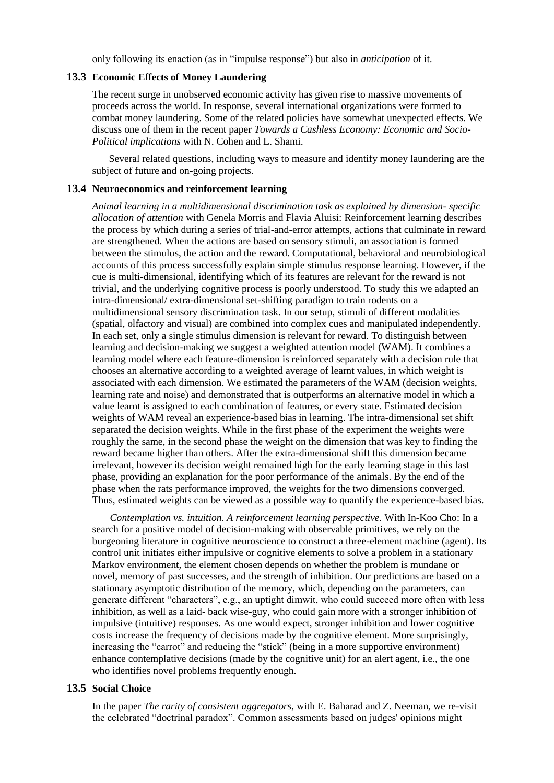only following its enaction (as in "impulse response") but also in *anticipation* of it.

#### **13.3 Economic Effects of Money Laundering**

The recent surge in unobserved economic activity has given rise to massive movements of proceeds across the world. In response, several international organizations were formed to combat money laundering. Some of the related policies have somewhat unexpected effects. We discuss one of them in the recent paper *Towards a Cashless Economy: Economic and Socio-Political implications* with N. Cohen and L. Shami.

Several related questions, including ways to measure and identify money laundering are the subject of future and on-going projects.

#### **13.4 Neuroeconomics and reinforcement learning**

*Animal learning in a multidimensional discrimination task as explained by dimension- specific allocation of attention* with Genela Morris and Flavia Aluisi: Reinforcement learning describes the process by which during a series of trial-and-error attempts, actions that culminate in reward are strengthened. When the actions are based on sensory stimuli, an association is formed between the stimulus, the action and the reward. Computational, behavioral and neurobiological accounts of this process successfully explain simple stimulus response learning. However, if the cue is multi-dimensional, identifying which of its features are relevant for the reward is not trivial, and the underlying cognitive process is poorly understood. To study this we adapted an intra-dimensional/ extra-dimensional set-shifting paradigm to train rodents on a multidimensional sensory discrimination task. In our setup, stimuli of different modalities (spatial, olfactory and visual) are combined into complex cues and manipulated independently. In each set, only a single stimulus dimension is relevant for reward. To distinguish between learning and decision-making we suggest a weighted attention model (WAM). It combines a learning model where each feature-dimension is reinforced separately with a decision rule that chooses an alternative according to a weighted average of learnt values, in which weight is associated with each dimension. We estimated the parameters of the WAM (decision weights, learning rate and noise) and demonstrated that is outperforms an alternative model in which a value learnt is assigned to each combination of features, or every state. Estimated decision weights of WAM reveal an experience-based bias in learning. The intra-dimensional set shift separated the decision weights. While in the first phase of the experiment the weights were roughly the same, in the second phase the weight on the dimension that was key to finding the reward became higher than others. After the extra-dimensional shift this dimension became irrelevant, however its decision weight remained high for the early learning stage in this last phase, providing an explanation for the poor performance of the animals. By the end of the phase when the rats performance improved, the weights for the two dimensions converged. Thus, estimated weights can be viewed as a possible way to quantify the experience-based bias.

*Contemplation vs. intuition. A reinforcement learning perspective.* With In-Koo Cho: In a search for a positive model of decision-making with observable primitives, we rely on the burgeoning literature in cognitive neuroscience to construct a three-element machine (agent). Its control unit initiates either impulsive or cognitive elements to solve a problem in a stationary Markov environment, the element chosen depends on whether the problem is mundane or novel, memory of past successes, and the strength of inhibition. Our predictions are based on a stationary asymptotic distribution of the memory, which, depending on the parameters, can generate different "characters", e.g., an uptight dimwit, who could succeed more often with less inhibition, as well as a laid- back wise-guy, who could gain more with a stronger inhibition of impulsive (intuitive) responses. As one would expect, stronger inhibition and lower cognitive costs increase the frequency of decisions made by the cognitive element. More surprisingly, increasing the "carrot" and reducing the "stick" (being in a more supportive environment) enhance contemplative decisions (made by the cognitive unit) for an alert agent, i.e., the one who identifies novel problems frequently enough.

#### **13.5 Social Choice**

In the paper *The rarity of consistent aggregators,* with E. Baharad and Z. Neeman, we re-visit the celebrated "doctrinal paradox". Common assessments based on judges' opinions might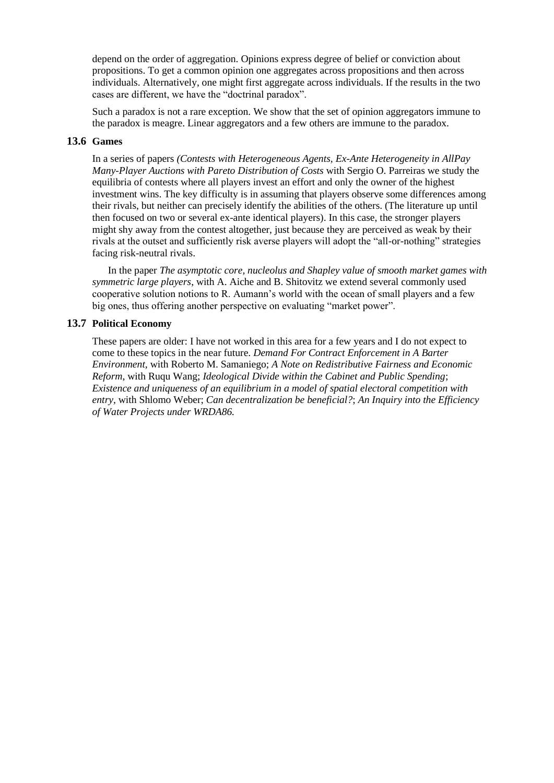depend on the order of aggregation. Opinions express degree of belief or conviction about propositions. To get a common opinion one aggregates across propositions and then across individuals. Alternatively, one might first aggregate across individuals. If the results in the two cases are different, we have the "doctrinal paradox".

Such a paradox is not a rare exception. We show that the set of opinion aggregators immune to the paradox is meagre. Linear aggregators and a few others are immune to the paradox.

#### **13.6 Games**

In a series of papers *(Contests with Heterogeneous Agents, Ex-Ante Heterogeneity in AllPay Many-Player Auctions with Pareto Distribution of Costs* with Sergio O. Parreiras we study the equilibria of contests where all players invest an effort and only the owner of the highest investment wins. The key difficulty is in assuming that players observe some differences among their rivals, but neither can precisely identify the abilities of the others. (The literature up until then focused on two or several ex-ante identical players). In this case, the stronger players might shy away from the contest altogether, just because they are perceived as weak by their rivals at the outset and sufficiently risk averse players will adopt the "all-or-nothing" strategies facing risk-neutral rivals.

In the paper *The asymptotic core, nucleolus and Shapley value of smooth market games with symmetric large players*, with A. Aiche and B. Shitovitz we extend several commonly used cooperative solution notions to R. Aumann's world with the ocean of small players and a few big ones, thus offering another perspective on evaluating "market power".

### **13.7 Political Economy**

These papers are older: I have not worked in this area for a few years and I do not expect to come to these topics in the near future. *Demand For Contract Enforcement in A Barter Environment,* with Roberto M. Samaniego; *A Note on Redistributive Fairness and Economic Reform*, with Ruqu Wang; *Ideological Divide within the Cabinet and Public Spending*; *Existence and uniqueness of an equilibrium in a model of spatial electoral competition with entry,* with Shlomo Weber; *Can decentralization be beneficial?*; *An Inquiry into the Efficiency of Water Projects under WRDA86.*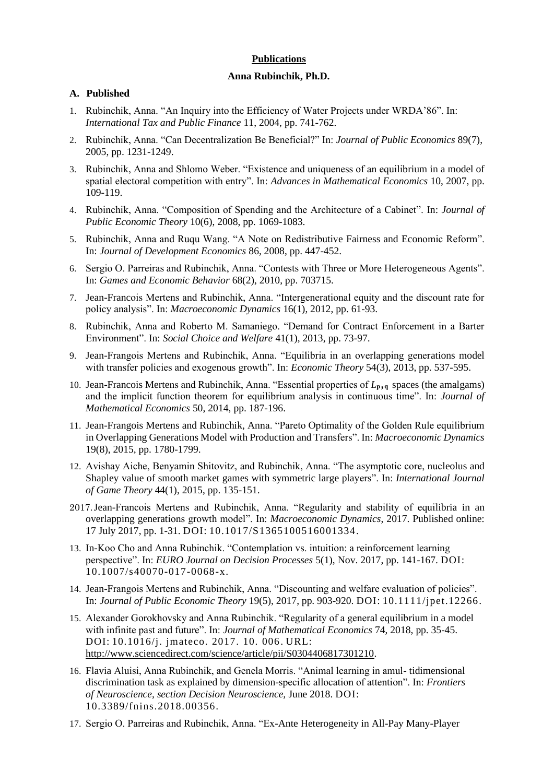#### **Publications**

#### **Anna Rubinchik, Ph.D.**

#### **A. Published**

- 1. Rubinchik, Anna. "An Inquiry into the Efficiency of Water Projects under WRDA'86". In: *International Tax and Public Finance* 11, 2004, pp. 741-762.
- 2. Rubinchik, Anna. "Can Decentralization Be Beneficial?" In: *Journal of Public Economics* 89(7), 2005, pp. 1231-1249.
- 3. Rubinchik, Anna and Shlomo Weber. "Existence and uniqueness of an equilibrium in a model of spatial electoral competition with entry". In: *Advances in Mathematical Economics* 10, 2007, pp. 109-119.
- 4. Rubinchik, Anna. "Composition of Spending and the Architecture of a Cabinet". In: *Journal of Public Economic Theory* 10(6), 2008, pp. 1069-1083.
- 5. Rubinchik, Anna and Ruqu Wang. "A Note on Redistributive Fairness and Economic Reform". In: *Journal of Development Economics* 86, 2008, pp. 447-452.
- 6. Sergio O. Parreiras and Rubinchik, Anna. "Contests with Three or More Heterogeneous Agents". In: *Games and Economic Behavior* 68(2), 2010, pp. 703715.
- 7. Jean-Francois Mertens and Rubinchik, Anna. "Intergenerational equity and the discount rate for policy analysis". In: *Macroeconomic Dynamics* 16(1), 2012, pp. 61-93.
- 8. Rubinchik, Anna and Roberto M. Samaniego. "Demand for Contract Enforcement in a Barter Environment". In: *Social Choice and Welfare* 41(1), 2013, pp. 73-97.
- 9. Jean-Frangois Mertens and Rubinchik, Anna. "Equilibria in an overlapping generations model with transfer policies and exogenous growth". In: *Economic Theory* 54(3), 2013, pp. 537-595.
- 10. Jean-Francois Mertens and Rubinchik, Anna. "Essential properties of *L***p,<sup>q</sup>** spaces (the amalgams) and the implicit function theorem for equilibrium analysis in continuous time". In: *Journal of Mathematical Economics* 50, 2014, pp. 187-196.
- 11. Jean-Frangois Mertens and Rubinchik, Anna. "Pareto Optimality of the Golden Rule equilibrium in Overlapping Generations Model with Production and Transfers". In: *Macroeconomic Dynamics* 19(8), 2015, pp. 1780-1799.
- 12. Avishay Aiche, Benyamin Shitovitz, and Rubinchik, Anna. "The asymptotic core, nucleolus and Shapley value of smooth market games with symmetric large players". In: *International Journal of Game Theory* 44(1), 2015, pp. 135-151.
- 2017.Jean-Francois Mertens and Rubinchik, Anna. "Regularity and stability of equilibria in an overlapping generations growth model". In: *Macroeconomic Dynamics*, 2017. Published online: 17 July 2017, pp. 1-31. DOI: 10.1017/S1365100516001334.
- 13. In-Koo Cho and Anna Rubinchik. "Contemplation vs. intuition: a reinforcement learning perspective". In: *EURO Journal on Decision Processes* 5(1), Nov. 2017, pp. 141-167. DOI: 10.1007/s40070-017-0068-x.
- 14. Jean-Frangois Mertens and Rubinchik, Anna. "Discounting and welfare evaluation of policies". In: *Journal of Public Economic Theory* 19(5), 2017, pp. 903-920. DOI: 10.1111/jpet.12266.
- 15. Alexander Gorokhovsky and Anna Rubinchik. "Regularity of a general equilibrium in a model with infinite past and future". In: *Journal of Mathematical Economics* 74, 2018, pp. 35-45. DOI: 10.1016/j. jmateco. 2017. 10. 006. URL: [http://www.sciencedirect.com/science/article/pii/S0304406817301210.](http://www.sciencedirect.com/science/article/pii/S0304406817301210)
- 16. Flavia Aluisi, Anna Rubinchik, and Genela Morris. "Animal learning in amul- tidimensional discrimination task as explained by dimension-specific allocation of attention". In: *Frontiers of Neuroscience, section Decision Neuroscience,* June 2018. DOI: 10.3389/fnins.2018.00356.
- 17. Sergio O. Parreiras and Rubinchik, Anna. "Ex-Ante Heterogeneity in All-Pay Many-Player